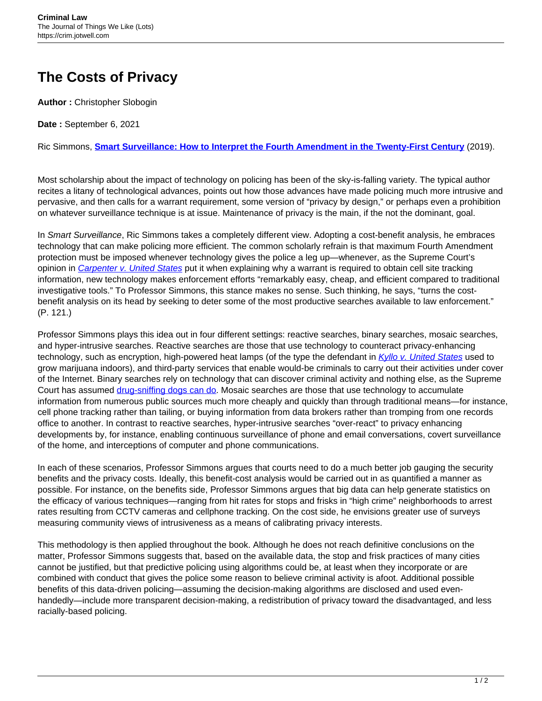## **The Costs of Privacy**

**Author :** Christopher Slobogin

**Date :** September 6, 2021

Ric Simmons, **[Smart Surveillance: How to Interpret the Fourth Amendment in the Twenty-First Century](https://www.cambridge.org/us/academic/subjects/law/criminal-law/smart-surveillance-how-interpret-fourth-amendment-twenty-first-century?format=PB)** (2019).

Most scholarship about the impact of technology on policing has been of the sky-is-falling variety. The typical author recites a litany of technological advances, points out how those advances have made policing much more intrusive and pervasive, and then calls for a warrant requirement, some version of "privacy by design," or perhaps even a prohibition on whatever surveillance technique is at issue. Maintenance of privacy is the main, if the not the dominant, goal.

In Smart Surveillance, Ric Simmons takes a completely different view. Adopting a cost-benefit analysis, he embraces technology that can make policing more efficient. The common scholarly refrain is that maximum Fourth Amendment protection must be imposed whenever technology gives the police a leg up—whenever, as the Supreme Court's opinion in [Carpenter v. United States](https://caselaw.findlaw.com/us-supreme-court/16-402.html) put it when explaining why a warrant is required to obtain cell site tracking information, new technology makes enforcement efforts "remarkably easy, cheap, and efficient compared to traditional investigative tools." To Professor Simmons, this stance makes no sense. Such thinking, he says, "turns the costbenefit analysis on its head by seeking to deter some of the most productive searches available to law enforcement." (P. 121.)

Professor Simmons plays this idea out in four different settings: reactive searches, binary searches, mosaic searches, and hyper-intrusive searches. Reactive searches are those that use technology to counteract privacy-enhancing technology, such as encryption, high-powered heat lamps (of the type the defendant in [Kyllo v. United States](https://caselaw.findlaw.com/us-supreme-court/533/27.html) used to grow marijuana indoors), and third-party services that enable would-be criminals to carry out their activities under cover of the Internet. Binary searches rely on technology that can discover criminal activity and nothing else, as the Supreme Court has assumed [drug-sniffing dogs can do](https://caselaw.findlaw.com/us-supreme-court/462/696.html). Mosaic searches are those that use technology to accumulate information from numerous public sources much more cheaply and quickly than through traditional means—for instance, cell phone tracking rather than tailing, or buying information from data brokers rather than tromping from one records office to another. In contrast to reactive searches, hyper-intrusive searches "over-react" to privacy enhancing developments by, for instance, enabling continuous surveillance of phone and email conversations, covert surveillance of the home, and interceptions of computer and phone communications.

In each of these scenarios, Professor Simmons argues that courts need to do a much better job gauging the security benefits and the privacy costs. Ideally, this benefit-cost analysis would be carried out in as quantified a manner as possible. For instance, on the benefits side, Professor Simmons argues that big data can help generate statistics on the efficacy of various techniques—ranging from hit rates for stops and frisks in "high crime" neighborhoods to arrest rates resulting from CCTV cameras and cellphone tracking. On the cost side, he envisions greater use of surveys measuring community views of intrusiveness as a means of calibrating privacy interests.

This methodology is then applied throughout the book. Although he does not reach definitive conclusions on the matter, Professor Simmons suggests that, based on the available data, the stop and frisk practices of many cities cannot be justified, but that predictive policing using algorithms could be, at least when they incorporate or are combined with conduct that gives the police some reason to believe criminal activity is afoot. Additional possible benefits of this data-driven policing—assuming the decision-making algorithms are disclosed and used evenhandedly—include more transparent decision-making, a redistribution of privacy toward the disadvantaged, and less racially-based policing.